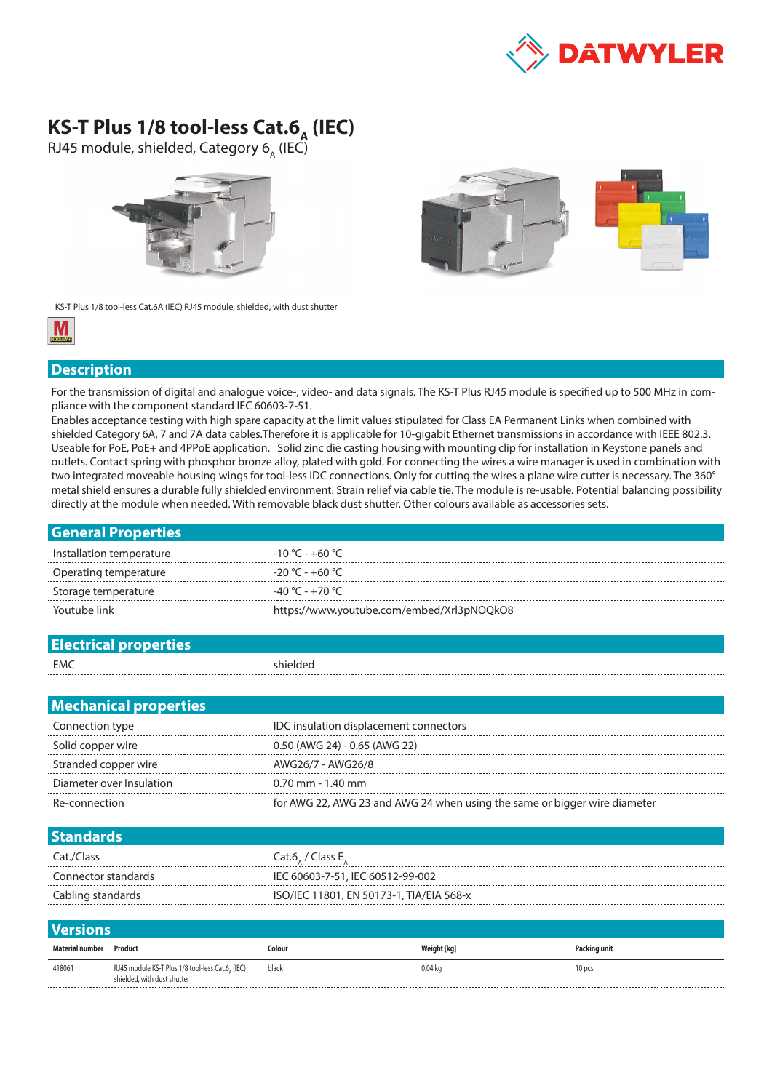

## **KS-T Plus 1/8 tool-less Cat.6<sub>A</sub> (IEC)**

RJ45 module, shielded, Category 6<sub>A</sub> (IEC)





KS-T Plus 1/8 tool-less Cat.6A (IEC) RJ45 module, shielded, with dust shutter



## **Description**

For the transmission of digital and analogue voice-, video- and data signals. The KS-T Plus RJ45 module is specified up to 500 MHz in compliance with the component standard IEC 60603-7-51.

Enables acceptance testing with high spare capacity at the limit values stipulated for Class EA Permanent Links when combined with shielded Category 6A, 7 and 7A data cables.Therefore it is applicable for 10-gigabit Ethernet transmissions in accordance with IEEE 802.3. Useable for PoE, PoE+ and 4PPoE application. Solid zinc die casting housing with mounting clip for installation in Keystone panels and outlets. Contact spring with phosphor bronze alloy, plated with gold. For connecting the wires a wire manager is used in combination with two integrated moveable housing wings for tool-less IDC connections. Only for cutting the wires a plane wire cutter is necessary. The 360° metal shield ensures a durable fully shielded environment. Strain relief via cable tie. The module is re-usable. Potential balancing possibility directly at the module when needed. With removable black dust shutter. Other colours available as accessories sets.

| <b>General Properties</b> |                                                  |
|---------------------------|--------------------------------------------------|
| Installation temperature  | $-10\,^{\circ}\text{C}$ - +60 $^{\circ}\text{C}$ |
| Operating temperature     | -20 °C - +60 °C                                  |
| Storage temperature       | -40 °C - +70 °C                                  |
| Youtube link              | https://www.youtube.com/embed/Xrl3pNOQkO8        |
|                           |                                                  |

| <b>Electrical properties</b> |          |
|------------------------------|----------|
| EMC                          | shielded |

| <b>Mechanical properties</b> |                                                                           |  |  |  |
|------------------------------|---------------------------------------------------------------------------|--|--|--|
| Connection type              | IDC insulation displacement connectors                                    |  |  |  |
| Solid copper wire            | 0.50 (AWG 24) - 0.65 (AWG 22)                                             |  |  |  |
| Stranded copper wire         | AWG26/7 - AWG26/8                                                         |  |  |  |
| Diameter over Insulation     | $0.70$ mm - 1.40 mm                                                       |  |  |  |
| Re-connection                | for AWG 22, AWG 23 and AWG 24 when using the same or bigger wire diameter |  |  |  |
|                              |                                                                           |  |  |  |

| <b>Standards</b>    |                                          |
|---------------------|------------------------------------------|
| Cat./Class          | Cat.6, / Class E,                        |
| Connector standards | IEC 60603-7-51, IEC 60512-99-002         |
| Cabling standards   | ISO/IEC 11801, EN 50173-1, TIA/EIA 568-x |
|                     |                                          |

| <b>Versions</b> |                                                                                 |        |             |              |  |  |  |
|-----------------|---------------------------------------------------------------------------------|--------|-------------|--------------|--|--|--|
| Material number | Product                                                                         | Colour | Weight [kg] | Packing unit |  |  |  |
| 418061          | RJ45 module KS-T Plus 1/8 tool-less Cat.6, (IEC)<br>shielded, with dust shutter | black  | $0.04$ kg   | 10 pcs.      |  |  |  |